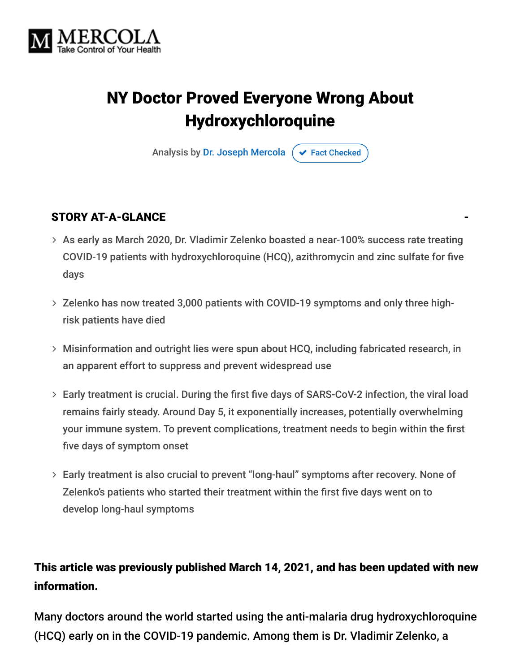

# NY Doctor Proved Everyone Wrong About Hydroxychloroquine

Analysis by [Dr. Joseph Mercola](https://www.mercola.com/forms/background.htm)  $\phi$  [Fact Checked](javascript:void(0))

#### STORY AT-A-GLANCE

- As early as March 2020, Dr. Vladimir Zelenko boasted a near-100% success rate treating COVID-19 patients with hydroxychloroquine (HCQ), azithromycin and zinc sulfate for five days
- $>$  Zelenko has now treated 3,000 patients with COVID-19 symptoms and only three highrisk patients have died
- Misinformation and outright lies were spun about HCQ, including fabricated research, in an apparent effort to suppress and prevent widespread use
- Early treatment is crucial. During the first five days of SARS-CoV-2 infection, the viral load remains fairly steady. Around Day 5, it exponentially increases, potentially overwhelming your immune system. To prevent complications, treatment needs to begin within the first five days of symptom onset
- Early treatment is also crucial to prevent "long-haul" symptoms after recovery. None of Zelenko's patients who started their treatment within the first five days went on to develop long-haul symptoms

#### This article was previously published March 14, 2021, and has been updated with new information.

Many doctors around the world started using the anti-malaria drug hydroxychloroquine (HCQ) early on in the COVID-19 pandemic. Among them is Dr. Vladimir Zelenko, a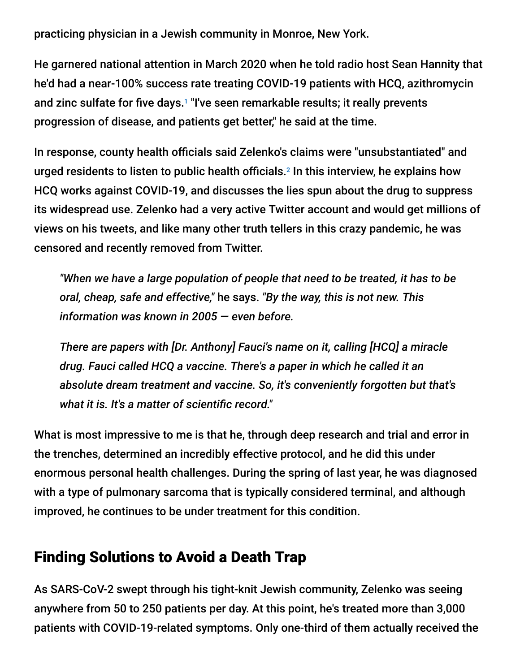practicing physician in a Jewish community in Monroe, New York.

He garnered national attention in March 2020 when he told radio host Sean Hannity that he'd had a near-100% success rate treating COVID-19 patients with HCQ, azithromycin and zinc sulfate for five days.<sup>1</sup> "I've seen remarkable results; it really prevents progression of disease, and patients get better," he said at the time.

In response, county health officials said Zelenko's claims were "unsubstantiated" and urged residents to listen to public health officials. $^2$  In this interview, he explains how HCQ works against COVID-19, and discusses the lies spun about the drug to suppress its widespread use. Zelenko had a very active Twitter account and would get millions of views on his tweets, and like many other truth tellers in this crazy pandemic, he was censored and recently removed from Twitter.

*"When we have a large population of people that need to be treated, it has to be oral, cheap, safe and effective,"* he says. *"By the way, this is not new. This information was known in 2005 — even before.*

*There are papers with [Dr. Anthony] Fauci's name on it, calling [HCQ] a miracle drug. Fauci called HCQ a vaccine. There's a paper in which he called it an absolute dream treatment and vaccine. So, it's conveniently forgotten but that's what it is. It's a matter of scientific record."*

What is most impressive to me is that he, through deep research and trial and error in the trenches, determined an incredibly effective protocol, and he did this under enormous personal health challenges. During the spring of last year, he was diagnosed with a type of pulmonary sarcoma that is typically considered terminal, and although improved, he continues to be under treatment for this condition.

### Finding Solutions to Avoid a Death Trap

As SARS-CoV-2 swept through his tight-knit Jewish community, Zelenko was seeing anywhere from 50 to 250 patients per day. At this point, he's treated more than 3,000 patients with COVID-19-related symptoms. Only one-third of them actually received the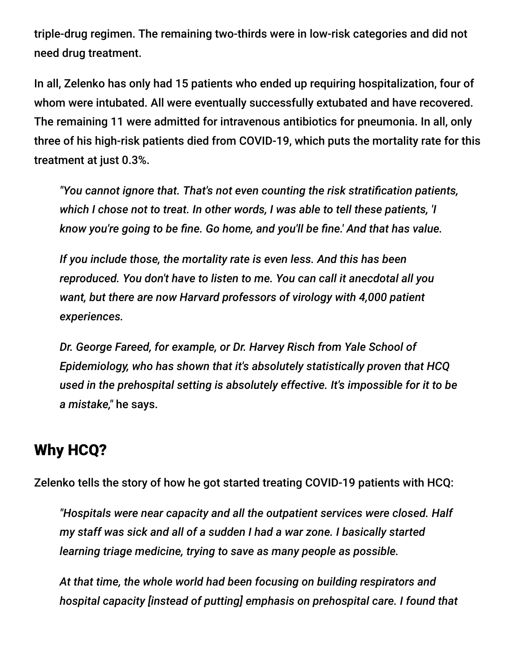triple-drug regimen. The remaining two-thirds were in low-risk categories and did not need drug treatment.

In all, Zelenko has only had 15 patients who ended up requiring hospitalization, four of whom were intubated. All were eventually successfully extubated and have recovered. The remaining 11 were admitted for intravenous antibiotics for pneumonia. In all, only three of his high-risk patients died from COVID-19, which puts the mortality rate for this treatment at just 0.3%.

*"You cannot ignore that. That's not even counting the risk stratification patients, which I chose not to treat. In other words, I was able to tell these patients, 'I know you're going to be fine. Go home, and you'll be fine.' And that has value.*

*If you include those, the mortality rate is even less. And this has been reproduced. You don't have to listen to me. You can call it anecdotal all you want, but there are now Harvard professors of virology with 4,000 patient experiences.*

*Dr. George Fareed, for example, or Dr. Harvey Risch from Yale School of Epidemiology, who has shown that it's absolutely statistically proven that HCQ used in the prehospital setting is absolutely effective. It's impossible for it to be a mistake,"* he says.

#### Why HCQ?

Zelenko tells the story of how he got started treating COVID-19 patients with HCQ:

*"Hospitals were near capacity and all the outpatient services were closed. Half my staff was sick and all of a sudden I had a war zone. I basically started learning triage medicine, trying to save as many people as possible.*

*At that time, the whole world had been focusing on building respirators and hospital capacity [instead of putting] emphasis on prehospital care. I found that*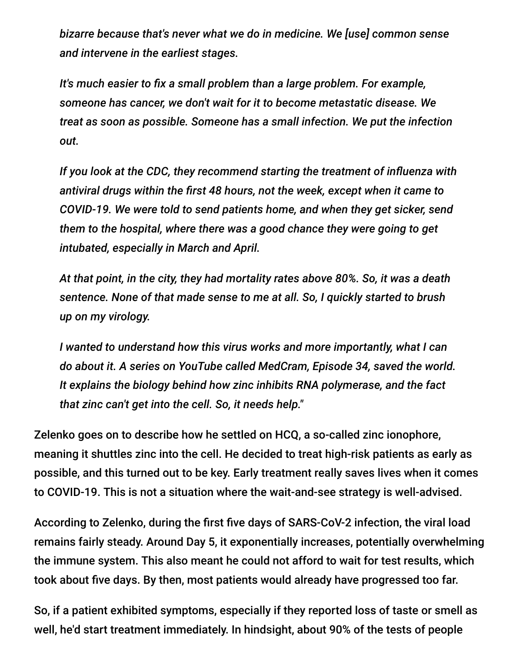*bizarre because that's never what we do in medicine. We [use] common sense and intervene in the earliest stages.*

*It's much easier to fix a small problem than a large problem. For example, someone has cancer, we don't wait for it to become metastatic disease. We treat as soon as possible. Someone has a small infection. We put the infection out.*

*If you look at the CDC, they recommend starting the treatment of influenza with antiviral drugs within the first 48 hours, not the week, except when it came to COVID-19. We were told to send patients home, and when they get sicker, send them to the hospital, where there was a good chance they were going to get intubated, especially in March and April.*

*At that point, in the city, they had mortality rates above 80%. So, it was a death sentence. None of that made sense to me at all. So, I quickly started to brush up on my virology.*

*I wanted to understand how this virus works and more importantly, what I can do about it. A series on YouTube called MedCram, Episode 34, saved the world. It explains the biology behind how zinc inhibits RNA polymerase, and the fact that zinc can't get into the cell. So, it needs help."*

Zelenko goes on to describe how he settled on HCQ, a so-called zinc ionophore, meaning it shuttles zinc into the cell. He decided to treat high-risk patients as early as possible, and this turned out to be key. Early treatment really saves lives when it comes to COVID-19. This is not a situation where the wait-and-see strategy is well-advised.

According to Zelenko, during the first five days of SARS-CoV-2 infection, the viral load remains fairly steady. Around Day 5, it exponentially increases, potentially overwhelming the immune system. This also meant he could not afford to wait for test results, which took about five days. By then, most patients would already have progressed too far.

So, if a patient exhibited symptoms, especially if they reported loss of taste or smell as well, he'd start treatment immediately. In hindsight, about 90% of the tests of people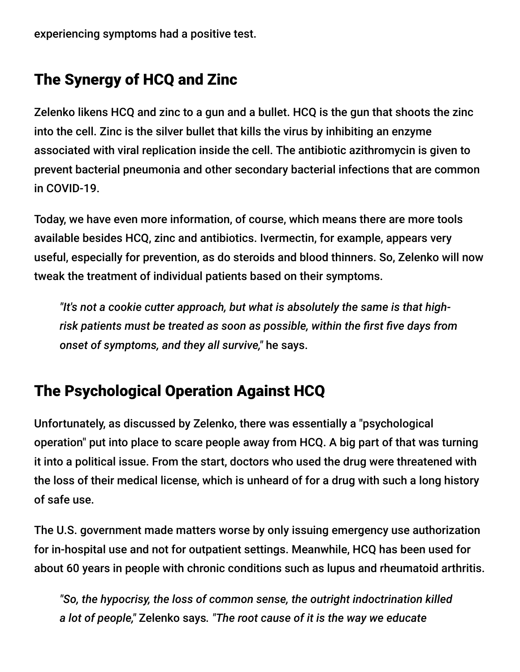experiencing symptoms had a positive test.

# The Synergy of HCQ and Zinc

Zelenko likens HCQ and zinc to a gun and a bullet. HCQ is the gun that shoots the zinc into the cell. Zinc is the silver bullet that kills the virus by inhibiting an enzyme associated with viral replication inside the cell. The antibiotic azithromycin is given to prevent bacterial pneumonia and other secondary bacterial infections that are common in COVID-19.

Today, we have even more information, of course, which means there are more tools available besides HCQ, zinc and antibiotics. Ivermectin, for example, appears very useful, especially for prevention, as do steroids and blood thinners. So, Zelenko will now tweak the treatment of individual patients based on their symptoms.

*"It's not a cookie cutter approach, but what is absolutely the same is that highrisk patients must be treated as soon as possible, within the first five days from onset of symptoms, and they all survive,"* he says.

### The Psychological Operation Against HCQ

Unfortunately, as discussed by Zelenko, there was essentially a "psychological operation" put into place to scare people away from HCQ. A big part of that was turning it into a political issue. From the start, doctors who used the drug were threatened with the loss of their medical license, which is unheard of for a drug with such a long history of safe use.

The U.S. government made matters worse by only issuing emergency use authorization for in-hospital use and not for outpatient settings. Meanwhile, HCQ has been used for about 60 years in people with chronic conditions such as lupus and rheumatoid arthritis.

*"So, the hypocrisy, the loss of common sense, the outright indoctrination killed a lot of people,"* Zelenko says*. "The root cause of it is the way we educate*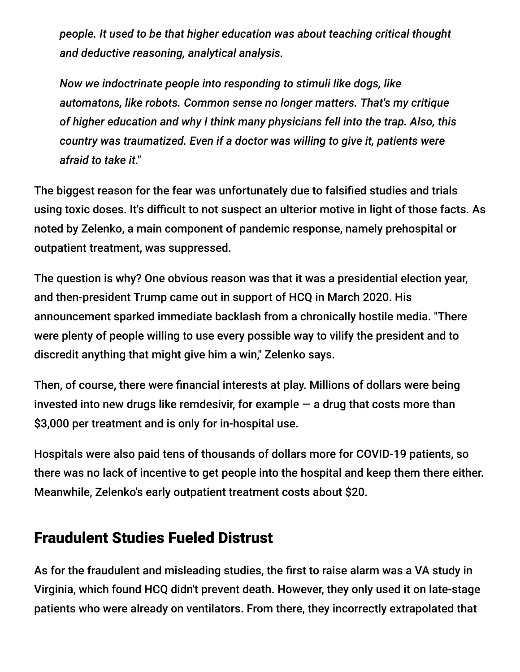*people. It used to be that higher education was about teaching critical thought and deductive reasoning, analytical analysis.*

*Now we indoctrinate people into responding to stimuli like dogs, like automatons, like robots. Common sense no longer matters. That's my critique of higher education and why I think many physicians fell into the trap. Also, this country was traumatized. Even if a doctor was willing to give it, patients were afraid to take it."*

The biggest reason for the fear was unfortunately due to falsified studies and trials using toxic doses. It's difficult to not suspect an ulterior motive in light of those facts. As noted by Zelenko, a main component of pandemic response, namely prehospital or outpatient treatment, was suppressed.

The question is why? One obvious reason was that it was a presidential election year, and then-president Trump came out in support of HCQ in March 2020. His announcement sparked immediate backlash from a chronically hostile media. "There were plenty of people willing to use every possible way to vilify the president and to discredit anything that might give him a win," Zelenko says.

Then, of course, there were financial interests at play. Millions of dollars were being invested into new drugs like remdesivir, for example  $-$  a drug that costs more than \$3,000 per treatment and is only for in-hospital use.

Hospitals were also paid tens of thousands of dollars more for COVID-19 patients, so there was no lack of incentive to get people into the hospital and keep them there either. Meanwhile, Zelenko's early outpatient treatment costs about \$20.

#### Fraudulent Studies Fueled Distrust

As for the fraudulent and misleading studies, the first to raise alarm was a VA study in Virginia, which found HCQ didn't prevent death. However, they only used it on late-stage patients who were already on ventilators. From there, they incorrectly extrapolated that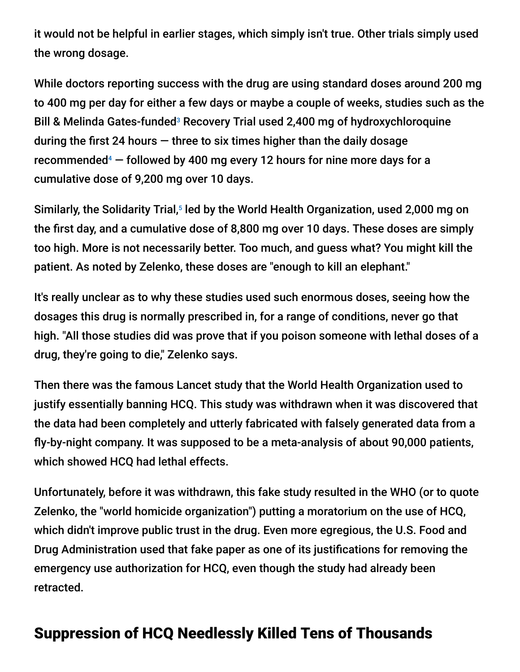it would not be helpful in earlier stages, which simply isn't true. Other trials simply used the wrong dosage.

While doctors reporting success with the drug are using standard doses around 200 mg to 400 mg per day for either a few days or maybe a couple of weeks, studies such as the Bill & Melinda Gates-funded<sup>3</sup> Recovery Trial used 2,400 mg of hydroxychloroquine during the first 24 hours  $-$  three to six times higher than the daily dosage recommended $4$   $-$  followed by 400 mg every 12 hours for nine more days for a cumulative dose of 9,200 mg over 10 days.

Similarly, the Solidarity Trial,<sup>5</sup> led by the World Health Organization, used 2,000 mg on the first day, and a cumulative dose of 8,800 mg over 10 days. These doses are simply too high. More is not necessarily better. Too much, and guess what? You might kill the patient. As noted by Zelenko, these doses are "enough to kill an elephant."

It's really unclear as to why these studies used such enormous doses, seeing how the dosages this drug is normally prescribed in, for a range of conditions, never go that high. "All those studies did was prove that if you poison someone with lethal doses of a drug, they're going to die," Zelenko says.

Then there was the famous Lancet study that the World Health Organization used to justify essentially banning HCQ. This study was withdrawn when it was discovered that the data had been completely and utterly fabricated with falsely generated data from a fly-by-night company. It was supposed to be a meta-analysis of about 90,000 patients, which showed HCQ had lethal effects.

Unfortunately, before it was withdrawn, this fake study resulted in the WHO (or to quote Zelenko, the "world homicide organization") putting a moratorium on the use of HCQ, which didn't improve public trust in the drug. Even more egregious, the U.S. Food and Drug Administration used that fake paper as one of its justifications for removing the emergency use authorization for HCQ, even though the study had already been retracted.

### Suppression of HCQ Needlessly Killed Tens of Thousands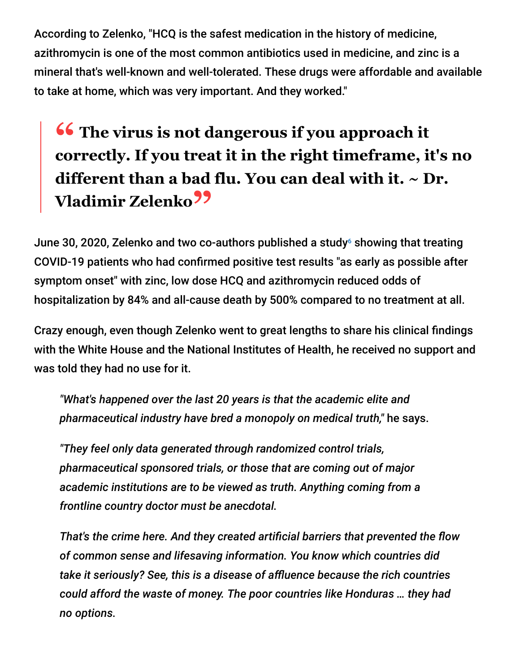According to Zelenko, "HCQ is the safest medication in the history of medicine, azithromycin is one of the most common antibiotics used in medicine, and zinc is a mineral that's well-known and well-tolerated. These drugs were affordable and available to take at home, which was very important. And they worked."

# **<sup>66</sup>** The virus is not dangerous if you approach it correctly **If you treat it** in the right timeframe if **correctly. If you treat it in the right timeframe, it's no different than a bad flu. You can deal with it. ~ Dr. Vladimir Zelenko"**

June 30, 2020, Zelenko and two co-authors published a study $\circ$  showing that treating COVID-19 patients who had confirmed positive test results "as early as possible after symptom onset" with zinc, low dose HCQ and azithromycin reduced odds of hospitalization by 84% and all-cause death by 500% compared to no treatment at all.

Crazy enough, even though Zelenko went to great lengths to share his clinical findings with the White House and the National Institutes of Health, he received no support and was told they had no use for it.

*"What's happened over the last 20 years is that the academic elite and pharmaceutical industry have bred a monopoly on medical truth,"* he says.

*"They feel only data generated through randomized control trials, pharmaceutical sponsored trials, or those that are coming out of major academic institutions are to be viewed as truth. Anything coming from a frontline country doctor must be anecdotal.*

*That's the crime here. And they created artificial barriers that prevented the flow of common sense and lifesaving information. You know which countries did take it seriously? See, this is a disease of affluence because the rich countries could afford the waste of money. The poor countries like Honduras … they had no options.*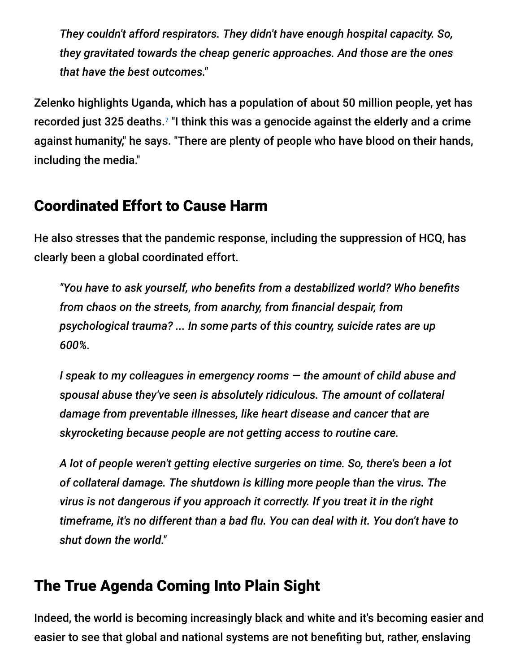*They couldn't afford respirators. They didn't have enough hospital capacity. So, they gravitated towards the cheap generic approaches. And those are the ones that have the best outcomes."*

Zelenko highlights Uganda, which has a population of about 50 million people, yet has recorded just 325 deaths. $7$  "I think this was a genocide against the elderly and a crime against humanity," he says. "There are plenty of people who have blood on their hands, including the media."

### Coordinated Effort to Cause Harm

He also stresses that the pandemic response, including the suppression of HCQ, has clearly been a global coordinated effort.

*"You have to ask yourself, who benefits from a destabilized world? Who benefits from chaos on the streets, from anarchy, from financial despair, from psychological trauma? ... In some parts of this country, suicide rates are up 600%.*

*I speak to my colleagues in emergency rooms — the amount of child abuse and spousal abuse they've seen is absolutely ridiculous. The amount of collateral damage from preventable illnesses, like heart disease and cancer that are skyrocketing because people are not getting access to routine care.*

*A lot of people weren't getting elective surgeries on time. So, there's been a lot of collateral damage. The shutdown is killing more people than the virus. The virus is not dangerous if you approach it correctly. If you treat it in the right timeframe, it's no different than a bad flu. You can deal with it. You don't have to shut down the world."*

# The True Agenda Coming Into Plain Sight

Indeed, the world is becoming increasingly black and white and it's becoming easier and easier to see that global and national systems are not benefiting but, rather, enslaving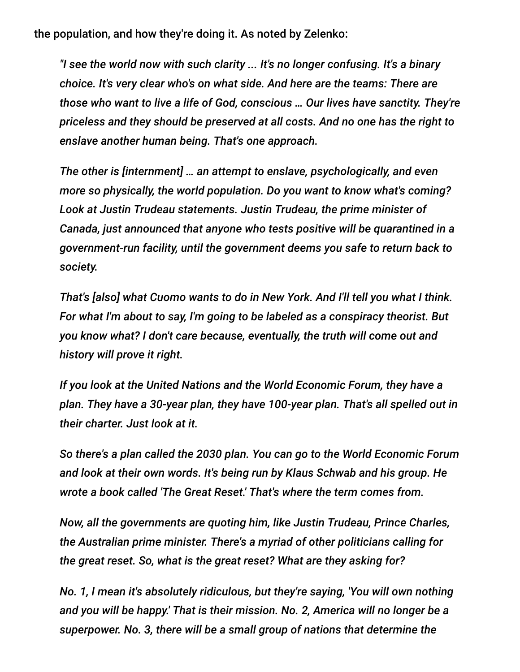the population, and how they're doing it. As noted by Zelenko:

*"I see the world now with such clarity ... It's no longer confusing. It's a binary choice. It's very clear who's on what side. And here are the teams: There are those who want to live a life of God, conscious … Our lives have sanctity. They're priceless and they should be preserved at all costs. And no one has the right to enslave another human being. That's one approach.*

*The other is [internment] … an attempt to enslave, psychologically, and even more so physically, the world population. Do you want to know what's coming? Look at Justin Trudeau statements. Justin Trudeau, the prime minister of Canada, just announced that anyone who tests positive will be quarantined in a government-run facility, until the government deems you safe to return back to society.*

*That's [also] what Cuomo wants to do in New York. And I'll tell you what I think. For what I'm about to say, I'm going to be labeled as a conspiracy theorist. But you know what? I don't care because, eventually, the truth will come out and history will prove it right.*

*If you look at the United Nations and the World Economic Forum, they have a plan. They have a 30-year plan, they have 100-year plan. That's all spelled out in their charter. Just look at it.*

*So there's a plan called the 2030 plan. You can go to the World Economic Forum and look at their own words. It's being run by Klaus Schwab and his group. He wrote a book called 'The Great Reset.' That's where the term comes from.*

*Now, all the governments are quoting him, like Justin Trudeau, Prince Charles, the Australian prime minister. There's a myriad of other politicians calling for the great reset. So, what is the great reset? What are they asking for?*

*No. 1, I mean it's absolutely ridiculous, but they're saying, 'You will own nothing and you will be happy.' That is their mission. No. 2, America will no longer be a superpower. No. 3, there will be a small group of nations that determine the*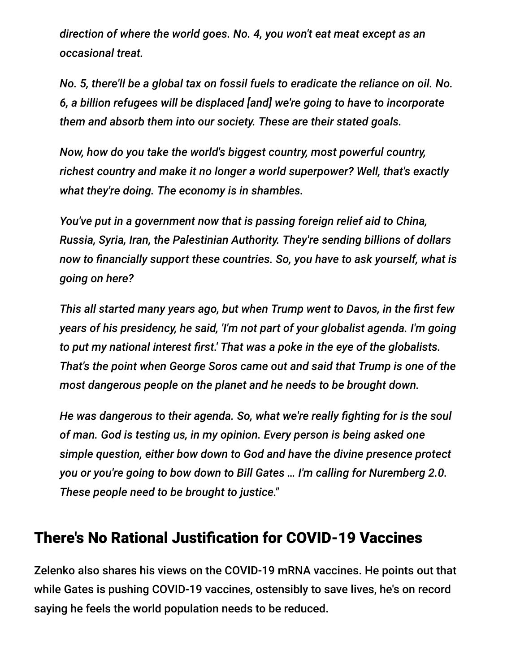*direction of where the world goes. No. 4, you won't eat meat except as an occasional treat.*

*No. 5, there'll be a global tax on fossil fuels to eradicate the reliance on oil. No. 6, a billion refugees will be displaced [and] we're going to have to incorporate them and absorb them into our society. These are their stated goals.*

*Now, how do you take the world's biggest country, most powerful country, richest country and make it no longer a world superpower? Well, that's exactly what they're doing. The economy is in shambles.*

*You've put in a government now that is passing foreign relief aid to China, Russia, Syria, Iran, the Palestinian Authority. They're sending billions of dollars now to financially support these countries. So, you have to ask yourself, what is going on here?*

*This all started many years ago, but when Trump went to Davos, in the first few years of his presidency, he said, 'I'm not part of your globalist agenda. I'm going to put my national interest first.' That was a poke in the eye of the globalists. That's the point when George Soros came out and said that Trump is one of the most dangerous people on the planet and he needs to be brought down.*

*He was dangerous to their agenda. So, what we're really fighting for is the soul of man. God is testing us, in my opinion. Every person is being asked one simple question, either bow down to God and have the divine presence protect you or you're going to bow down to Bill Gates … I'm calling for Nuremberg 2.0. These people need to be brought to justice."*

#### There's No Rational Justification for COVID-19 Vaccines

Zelenko also shares his views on the COVID-19 mRNA vaccines. He points out that while Gates is pushing COVID-19 vaccines, ostensibly to save lives, he's on record saying he feels the world population needs to be reduced.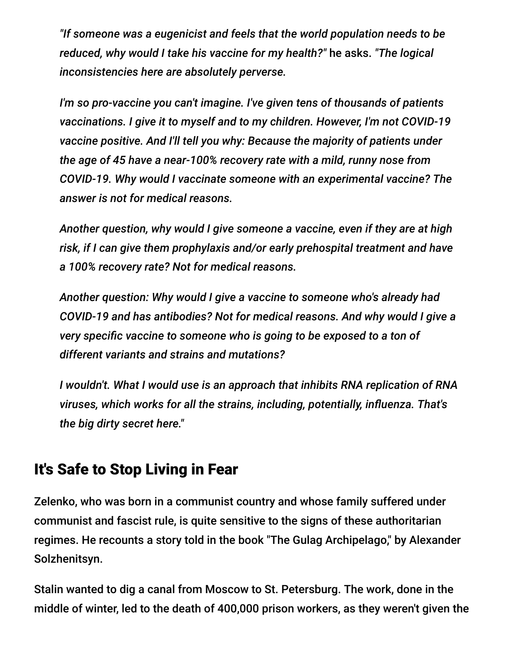*"If someone was a eugenicist and feels that the world population needs to be reduced, why would I take his vaccine for my health?"* he asks. *"The logical inconsistencies here are absolutely perverse.*

*I'm so pro-vaccine you can't imagine. I've given tens of thousands of patients vaccinations. I give it to myself and to my children. However, I'm not COVID-19 vaccine positive. And I'll tell you why: Because the majority of patients under the age of 45 have a near-100% recovery rate with a mild, runny nose from COVID-19. Why would I vaccinate someone with an experimental vaccine? The answer is not for medical reasons.*

*Another question, why would I give someone a vaccine, even if they are at high risk, if I can give them prophylaxis and/or early prehospital treatment and have a 100% recovery rate? Not for medical reasons.*

*Another question: Why would I give a vaccine to someone who's already had COVID-19 and has antibodies? Not for medical reasons. And why would I give a very specific vaccine to someone who is going to be exposed to a ton of different variants and strains and mutations?*

*I wouldn't. What I would use is an approach that inhibits RNA replication of RNA viruses, which works for all the strains, including, potentially, influenza. That's the big dirty secret here."*

#### It's Safe to Stop Living in Fear

Zelenko, who was born in a communist country and whose family suffered under communist and fascist rule, is quite sensitive to the signs of these authoritarian regimes. He recounts a story told in the book "The Gulag Archipelago," by Alexander Solzhenitsyn.

Stalin wanted to dig a canal from Moscow to St. Petersburg. The work, done in the middle of winter, led to the death of 400,000 prison workers, as they weren't given the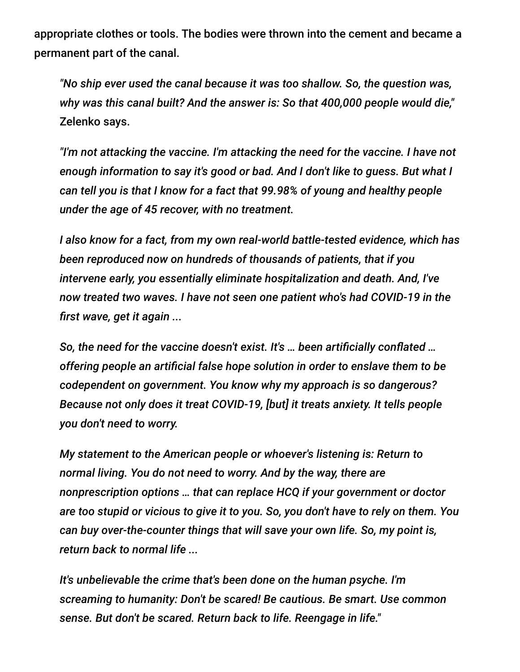appropriate clothes or tools. The bodies were thrown into the cement and became a permanent part of the canal.

*"No ship ever used the canal because it was too shallow. So, the question was, why was this canal built? And the answer is: So that 400,000 people would die,"* Zelenko says.

*"I'm not attacking the vaccine. I'm attacking the need for the vaccine. I have not enough information to say it's good or bad. And I don't like to guess. But what I can tell you is that I know for a fact that 99.98% of young and healthy people under the age of 45 recover, with no treatment.*

*I also know for a fact, from my own real-world battle-tested evidence, which has been reproduced now on hundreds of thousands of patients, that if you intervene early, you essentially eliminate hospitalization and death. And, I've now treated two waves. I have not seen one patient who's had COVID-19 in the first wave, get it again ...*

*So, the need for the vaccine doesn't exist. It's … been artificially conflated … offering people an artificial false hope solution in order to enslave them to be codependent on government. You know why my approach is so dangerous? Because not only does it treat COVID-19, [but] it treats anxiety. It tells people you don't need to worry.*

*My statement to the American people or whoever's listening is: Return to normal living. You do not need to worry. And by the way, there are nonprescription options … that can replace HCQ if your government or doctor are too stupid or vicious to give it to you. So, you don't have to rely on them. You can buy over-the-counter things that will save your own life. So, my point is, return back to normal life ...*

*It's unbelievable the crime that's been done on the human psyche. I'm screaming to humanity: Don't be scared! Be cautious. Be smart. Use common sense. But don't be scared. Return back to life. Reengage in life."*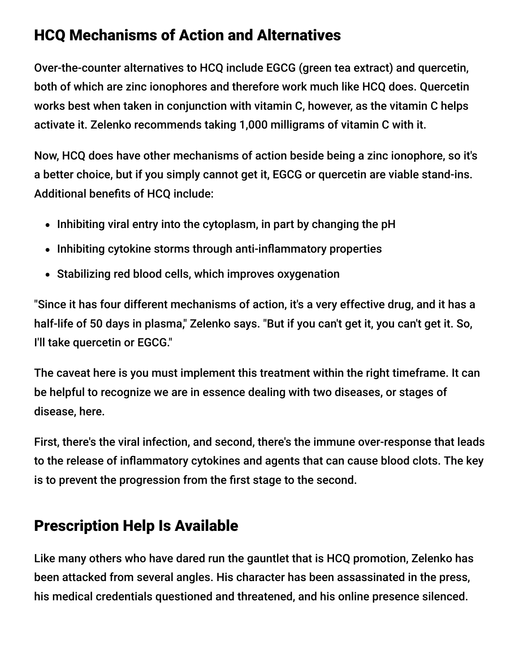### HCQ Mechanisms of Action and Alternatives

Over-the-counter alternatives to HCQ include EGCG (green tea extract) and quercetin, both of which are zinc ionophores and therefore work much like HCQ does. Quercetin works best when taken in conjunction with vitamin C, however, as the vitamin C helps activate it. Zelenko recommends taking 1,000 milligrams of vitamin C with it.

Now, HCQ does have other mechanisms of action beside being a zinc ionophore, so it's a better choice, but if you simply cannot get it, EGCG or quercetin are viable stand-ins. Additional benefits of HCQ include:

- $\bullet$  Inhibiting viral entry into the cytoplasm, in part by changing the pH
- Inhibiting cytokine storms through anti-inflammatory properties
- Stabilizing red blood cells, which improves oxygenation

"Since it has four different mechanisms of action, it's a very effective drug, and it has a half-life of 50 days in plasma," Zelenko says. "But if you can't get it, you can't get it. So, I'll take quercetin or EGCG."

The caveat here is you must implement this treatment within the right timeframe. It can be helpful to recognize we are in essence dealing with two diseases, or stages of disease, here.

First, there's the viral infection, and second, there's the immune over-response that leads to the release of inflammatory cytokines and agents that can cause blood clots. The key is to prevent the progression from the first stage to the second.

### Prescription Help Is Available

Like many others who have dared run the gauntlet that is HCQ promotion, Zelenko has been attacked from several angles. His character has been assassinated in the press, his medical credentials questioned and threatened, and his online presence silenced.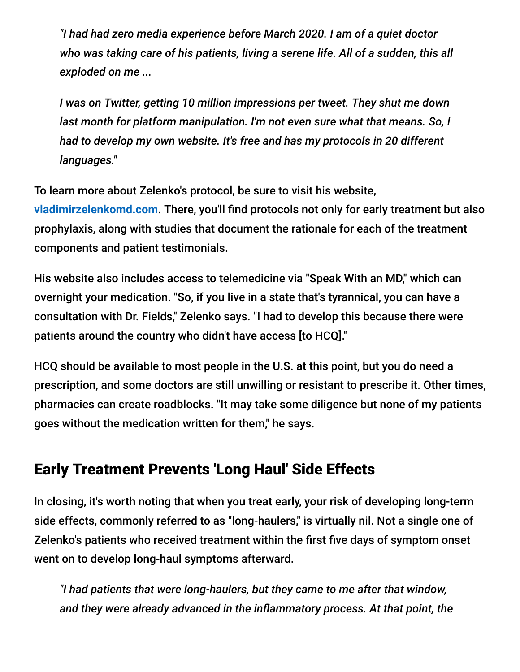*"I had had zero media experience before March 2020. I am of a quiet doctor who was taking care of his patients, living a serene life. All of a sudden, this all exploded on me ...*

*I was on Twitter, getting 10 million impressions per tweet. They shut me down last month for platform manipulation. I'm not even sure what that means. So, I had to develop my own website. It's free and has my protocols in 20 different languages."*

To learn more about Zelenko's protocol, be sure to visit his website, **[vladimirzelenkomd.com](https://www.vladimirzelenkomd.com/)**. There, you'll find protocols not only for early treatment but also prophylaxis, along with studies that document the rationale for each of the treatment components and patient testimonials.

His website also includes access to telemedicine via "Speak With an MD," which can overnight your medication. "So, if you live in a state that's tyrannical, you can have a consultation with Dr. Fields," Zelenko says. "I had to develop this because there were patients around the country who didn't have access [to HCQ]."

HCQ should be available to most people in the U.S. at this point, but you do need a prescription, and some doctors are still unwilling or resistant to prescribe it. Other times, pharmacies can create roadblocks. "It may take some diligence but none of my patients goes without the medication written for them," he says.

# Early Treatment Prevents 'Long Haul' Side Effects

In closing, it's worth noting that when you treat early, your risk of developing long-term side effects, commonly referred to as "long-haulers," is virtually nil. Not a single one of Zelenko's patients who received treatment within the first five days of symptom onset went on to develop long-haul symptoms afterward.

*"I had patients that were long-haulers, but they came to me after that window, and they were already advanced in the inflammatory process. At that point, the*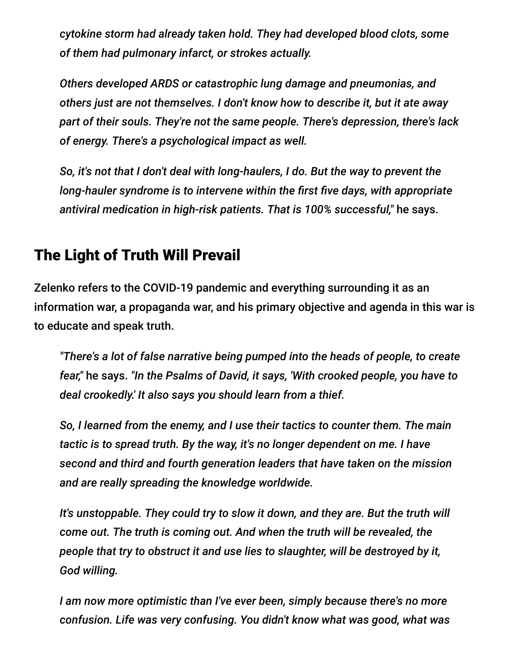*cytokine storm had already taken hold. They had developed blood clots, some of them had pulmonary infarct, or strokes actually.*

*Others developed ARDS or catastrophic lung damage and pneumonias, and others just are not themselves. I don't know how to describe it, but it ate away part of their souls. They're not the same people. There's depression, there's lack of energy. There's a psychological impact as well.*

*So, it's not that I don't deal with long-haulers, I do. But the way to prevent the long-hauler syndrome is to intervene within the first five days, with appropriate antiviral medication in high-risk patients. That is 100% successful,"* he says.

#### The Light of Truth Will Prevail

Zelenko refers to the COVID-19 pandemic and everything surrounding it as an information war, a propaganda war, and his primary objective and agenda in this war is to educate and speak truth.

*"There's a lot of false narrative being pumped into the heads of people, to create fear,"* he says. *"In the Psalms of David, it says, 'With crooked people, you have to deal crookedly.' It also says you should learn from a thief.*

*So, I learned from the enemy, and I use their tactics to counter them. The main tactic is to spread truth. By the way, it's no longer dependent on me. I have second and third and fourth generation leaders that have taken on the mission and are really spreading the knowledge worldwide.*

*It's unstoppable. They could try to slow it down, and they are. But the truth will come out. The truth is coming out. And when the truth will be revealed, the people that try to obstruct it and use lies to slaughter, will be destroyed by it, God willing.*

*I am now more optimistic than I've ever been, simply because there's no more confusion. Life was very confusing. You didn't know what was good, what was*